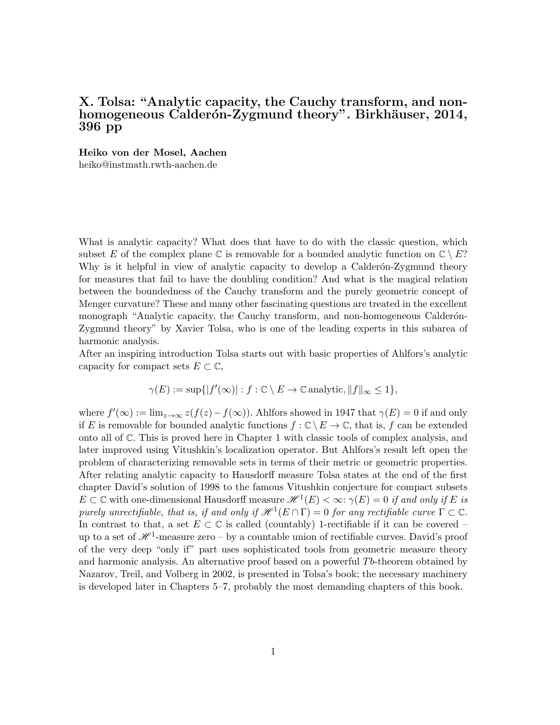## X. Tolsa: "Analytic capacity, the Cauchy transform, and nonhomogeneous Calderón-Zygmund theory". Birkhäuser, 2014, 396 pp

Heiko von der Mosel, Aachen

heiko@instmath.rwth-aachen.de

What is analytic capacity? What does that have to do with the classic question, which subset E of the complex plane C is removable for a bounded analytic function on  $\mathbb{C} \setminus E$ ? Why is it helpful in view of analytic capacity to develop a Calderón-Zygmund theory for measures that fail to have the doubling condition? And what is the magical relation between the boundedness of the Cauchy transform and the purely geometric concept of Menger curvature? These and many other fascinating questions are treated in the excellent monograph "Analytic capacity, the Cauchy transform, and non-homogeneous Calderón-Zygmund theory" by Xavier Tolsa, who is one of the leading experts in this subarea of harmonic analysis.

After an inspiring introduction Tolsa starts out with basic properties of Ahlfors's analytic capacity for compact sets  $E \subset \mathbb{C}$ ,

$$
\gamma(E) := \sup\{|f'(\infty)| : f : \mathbb{C} \setminus E \to \mathbb{C} \text{ analytic}, ||f||_{\infty} \le 1\},\
$$

where  $f'(\infty) := \lim_{z \to \infty} z(f(z) - f(\infty))$ . Ahlfors showed in 1947 that  $\gamma(E) = 0$  if and only if E is removable for bounded analytic functions  $f : \mathbb{C} \setminus E \to \mathbb{C}$ , that is, f can be extended onto all of C. This is proved here in Chapter 1 with classic tools of complex analysis, and later improved using Vitushkin's localization operator. But Ahlfors's result left open the problem of characterizing removable sets in terms of their metric or geometric properties. After relating analytic capacity to Hausdorff measure Tolsa states at the end of the first chapter David's solution of 1998 to the famous Vitushkin conjecture for compact subsets  $E \subset \mathbb{C}$  with one-dimensional Hausdorff measure  $\mathscr{H}^1(E) < \infty$ :  $\gamma(E) = 0$  if and only if E is purely unrectifiable, that is, if and only if  $\mathcal{H}^1(E \cap \Gamma) = 0$  for any rectifiable curve  $\Gamma \subset \mathbb{C}$ . In contrast to that, a set  $E \subset \mathbb{C}$  is called (countably) 1-rectifiable if it can be covered – up to a set of  $\mathscr{H}^1$ -measure zero – by a countable union of rectifiable curves. David's proof of the very deep "only if" part uses sophisticated tools from geometric measure theory and harmonic analysis. An alternative proof based on a powerful  $Tb$ -theorem obtained by Nazarov, Treil, and Volberg in 2002, is presented in Tolsa's book; the necessary machinery is developed later in Chapters 5–7, probably the most demanding chapters of this book.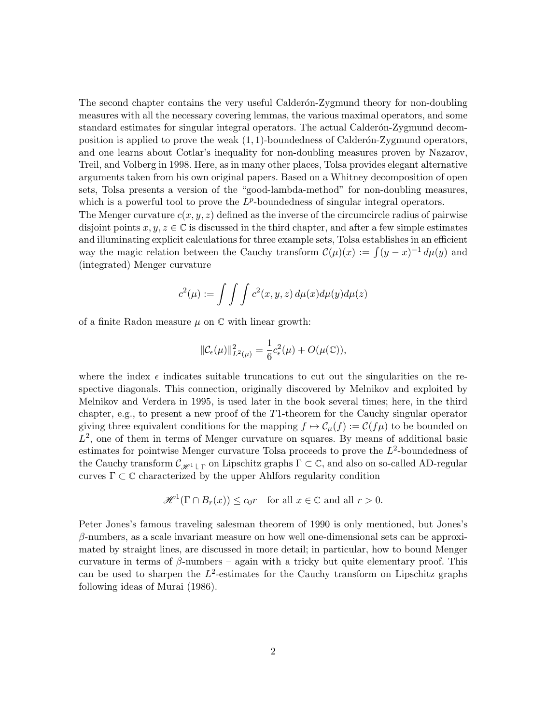The second chapter contains the very useful Calderón-Zygmund theory for non-doubling measures with all the necessary covering lemmas, the various maximal operators, and some standard estimates for singular integral operators. The actual Calderon-Zygmund decomposition is applied to prove the weak  $(1, 1)$ -boundedness of Calderón-Zygmund operators, and one learns about Cotlar's inequality for non-doubling measures proven by Nazarov, Treil, and Volberg in 1998. Here, as in many other places, Tolsa provides elegant alternative arguments taken from his own original papers. Based on a Whitney decomposition of open sets, Tolsa presents a version of the "good-lambda-method" for non-doubling measures, which is a powerful tool to prove the  $L^p$ -boundedness of singular integral operators.

The Menger curvature  $c(x, y, z)$  defined as the inverse of the circumcircle radius of pairwise disjoint points  $x, y, z \in \mathbb{C}$  is discussed in the third chapter, and after a few simple estimates and illuminating explicit calculations for three example sets, Tolsa establishes in an efficient way the magic relation between the Cauchy transform  $\mathcal{C}(\mu)(x) := \int (y - x)^{-1} d\mu(y)$  and (integrated) Menger curvature

$$
c^{2}(\mu) := \int \int \int c^{2}(x, y, z) d\mu(x) d\mu(y) d\mu(z)
$$

of a finite Radon measure  $\mu$  on  $\mathbb C$  with linear growth:

$$
\|\mathcal{C}_{\epsilon}(\mu)\|_{L^2(\mu)}^2 = \frac{1}{6}c_{\epsilon}^2(\mu) + O(\mu(\mathbb{C})),
$$

where the index  $\epsilon$  indicates suitable truncations to cut out the singularities on the respective diagonals. This connection, originally discovered by Melnikov and exploited by Melnikov and Verdera in 1995, is used later in the book several times; here, in the third chapter, e.g., to present a new proof of the T1-theorem for the Cauchy singular operator giving three equivalent conditions for the mapping  $f \mapsto \mathcal{C}_{\mu}(f) := \mathcal{C}(f\mu)$  to be bounded on  $L^2$ , one of them in terms of Menger curvature on squares. By means of additional basic estimates for pointwise Menger curvature Tolsa proceeds to prove the  $L^2$ -boundedness of the Cauchy transform  $\mathcal{C}_{\mathscr{H}^1\sqcup\Gamma}$  on Lipschitz graphs  $\Gamma\subset\mathbb{C},$  and also on so-called AD-regular curves  $\Gamma \subset \mathbb{C}$  characterized by the upper Ahlfors regularity condition

$$
\mathcal{H}^{1}(\Gamma \cap B_{r}(x)) \le c_{0}r \quad \text{for all } x \in \mathbb{C} \text{ and all } r > 0.
$$

Peter Jones's famous traveling salesman theorem of 1990 is only mentioned, but Jones's  $\beta$ -numbers, as a scale invariant measure on how well one-dimensional sets can be approximated by straight lines, are discussed in more detail; in particular, how to bound Menger curvature in terms of  $\beta$ -numbers – again with a tricky but quite elementary proof. This can be used to sharpen the  $L^2$ -estimates for the Cauchy transform on Lipschitz graphs following ideas of Murai (1986).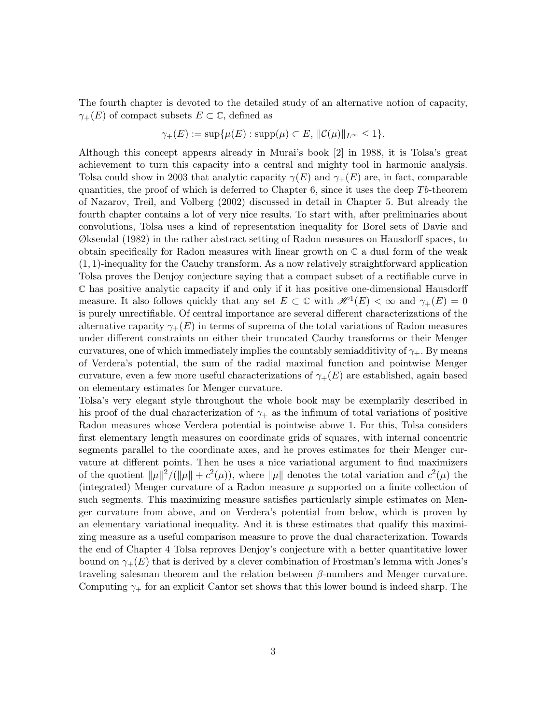The fourth chapter is devoted to the detailed study of an alternative notion of capacity,  $\gamma_{+}(E)$  of compact subsets  $E \subset \mathbb{C}$ , defined as

$$
\gamma_+(E) := \sup \{ \mu(E) : \text{supp}(\mu) \subset E, \, \|\mathcal{C}(\mu)\|_{L^\infty} \le 1 \}.
$$

Although this concept appears already in Murai's book [2] in 1988, it is Tolsa's great achievement to turn this capacity into a central and mighty tool in harmonic analysis. Tolsa could show in 2003 that analytic capacity  $\gamma(E)$  and  $\gamma_+(E)$  are, in fact, comparable quantities, the proof of which is deferred to Chapter 6, since it uses the deep  $Tb$ -theorem of Nazarov, Treil, and Volberg (2002) discussed in detail in Chapter 5. But already the fourth chapter contains a lot of very nice results. To start with, after preliminaries about convolutions, Tolsa uses a kind of representation inequality for Borel sets of Davie and Øksendal (1982) in the rather abstract setting of Radon measures on Hausdorff spaces, to obtain specifically for Radon measures with linear growth on  $\mathbb C$  a dual form of the weak  $(1, 1)$ -inequality for the Cauchy transform. As a now relatively straightforward application Tolsa proves the Denjoy conjecture saying that a compact subset of a rectifiable curve in C has positive analytic capacity if and only if it has positive one-dimensional Hausdorff measure. It also follows quickly that any set  $E \subset \mathbb{C}$  with  $\mathcal{H}^1(E) < \infty$  and  $\gamma_+(E) = 0$ is purely unrectifiable. Of central importance are several different characterizations of the alternative capacity  $\gamma_+(E)$  in terms of suprema of the total variations of Radon measures under different constraints on either their truncated Cauchy transforms or their Menger curvatures, one of which immediately implies the countably semiadditivity of  $\gamma_+$ . By means of Verdera's potential, the sum of the radial maximal function and pointwise Menger curvature, even a few more useful characterizations of  $\gamma_+(E)$  are established, again based on elementary estimates for Menger curvature.

Tolsa's very elegant style throughout the whole book may be exemplarily described in his proof of the dual characterization of  $\gamma_+$  as the infimum of total variations of positive Radon measures whose Verdera potential is pointwise above 1. For this, Tolsa considers first elementary length measures on coordinate grids of squares, with internal concentric segments parallel to the coordinate axes, and he proves estimates for their Menger curvature at different points. Then he uses a nice variational argument to find maximizers of the quotient  $\|\mu\|^2/(\|\mu\| + c^2(\mu))$ , where  $\|\mu\|$  denotes the total variation and  $c^2(\mu)$  the (integrated) Menger curvature of a Radon measure  $\mu$  supported on a finite collection of such segments. This maximizing measure satisfies particularly simple estimates on Menger curvature from above, and on Verdera's potential from below, which is proven by an elementary variational inequality. And it is these estimates that qualify this maximizing measure as a useful comparison measure to prove the dual characterization. Towards the end of Chapter 4 Tolsa reproves Denjoy's conjecture with a better quantitative lower bound on  $\gamma_{+}(E)$  that is derived by a clever combination of Frostman's lemma with Jones's traveling salesman theorem and the relation between  $\beta$ -numbers and Menger curvature. Computing  $\gamma_+$  for an explicit Cantor set shows that this lower bound is indeed sharp. The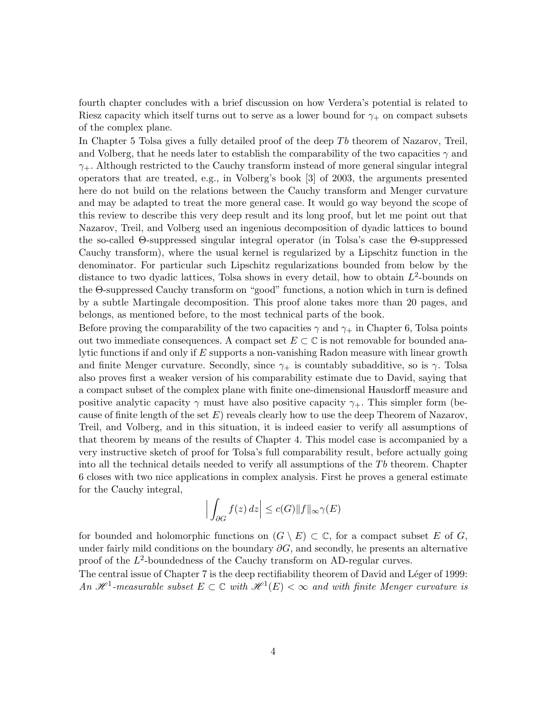fourth chapter concludes with a brief discussion on how Verdera's potential is related to Riesz capacity which itself turns out to serve as a lower bound for  $\gamma_+$  on compact subsets of the complex plane.

In Chapter 5 Tolsa gives a fully detailed proof of the deep  $Tb$  theorem of Nazarov, Treil, and Volberg, that he needs later to establish the comparability of the two capacities  $\gamma$  and  $\gamma_+$ . Although restricted to the Cauchy transform instead of more general singular integral operators that are treated, e.g., in Volberg's book [3] of 2003, the arguments presented here do not build on the relations between the Cauchy transform and Menger curvature and may be adapted to treat the more general case. It would go way beyond the scope of this review to describe this very deep result and its long proof, but let me point out that Nazarov, Treil, and Volberg used an ingenious decomposition of dyadic lattices to bound the so-called Θ-suppressed singular integral operator (in Tolsa's case the Θ-suppressed Cauchy transform), where the usual kernel is regularized by a Lipschitz function in the denominator. For particular such Lipschitz regularizations bounded from below by the distance to two dyadic lattices, Tolsa shows in every detail, how to obtain  $L^2$ -bounds on the Θ-suppressed Cauchy transform on "good" functions, a notion which in turn is defined by a subtle Martingale decomposition. This proof alone takes more than 20 pages, and belongs, as mentioned before, to the most technical parts of the book.

Before proving the comparability of the two capacities  $\gamma$  and  $\gamma_+$  in Chapter 6, Tolsa points out two immediate consequences. A compact set  $E \subset \mathbb{C}$  is not removable for bounded analytic functions if and only if E supports a non-vanishing Radon measure with linear growth and finite Menger curvature. Secondly, since  $\gamma_+$  is countably subadditive, so is  $\gamma$ . Tolsa also proves first a weaker version of his comparability estimate due to David, saying that a compact subset of the complex plane with finite one-dimensional Hausdorff measure and positive analytic capacity  $\gamma$  must have also positive capacity  $\gamma_+$ . This simpler form (because of finite length of the set  $E$ ) reveals clearly how to use the deep Theorem of Nazarov, Treil, and Volberg, and in this situation, it is indeed easier to verify all assumptions of that theorem by means of the results of Chapter 4. This model case is accompanied by a very instructive sketch of proof for Tolsa's full comparability result, before actually going into all the technical details needed to verify all assumptions of the  $Tb$  theorem. Chapter 6 closes with two nice applications in complex analysis. First he proves a general estimate for the Cauchy integral,

$$
\left| \int_{\partial G} f(z) \, dz \right| \le c(G) \|f\|_{\infty} \gamma(E)
$$

for bounded and holomorphic functions on  $(G \setminus E) \subset \mathbb{C}$ , for a compact subset E of G, under fairly mild conditions on the boundary  $\partial G$ , and secondly, he presents an alternative proof of the  $L^2$ -boundedness of the Cauchy transform on AD-regular curves.

The central issue of Chapter 7 is the deep rectifiability theorem of David and Léger of 1999: An  $\mathscr{H}^1$ -measurable subset  $E \subset \mathbb{C}$  with  $\mathscr{H}^1(E) < \infty$  and with finite Menger curvature is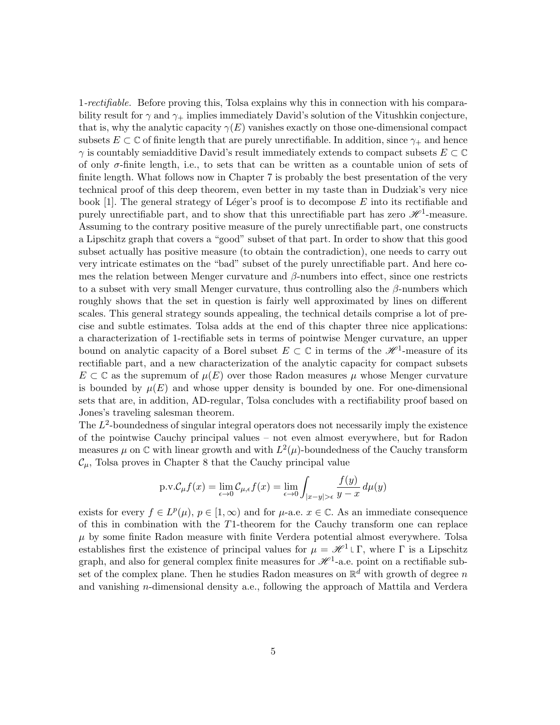1-rectifiable. Before proving this, Tolsa explains why this in connection with his comparability result for  $\gamma$  and  $\gamma_+$  implies immediately David's solution of the Vitushkin conjecture, that is, why the analytic capacity  $\gamma(E)$  vanishes exactly on those one-dimensional compact subsets  $E \subset \mathbb{C}$  of finite length that are purely unrectifiable. In addition, since  $\gamma_+$  and hence  $\gamma$  is countably semiadditive David's result immediately extends to compact subsets  $E \subset \mathbb{C}$ of only  $\sigma$ -finite length, i.e., to sets that can be written as a countable union of sets of finite length. What follows now in Chapter 7 is probably the best presentation of the very technical proof of this deep theorem, even better in my taste than in Dudziak's very nice book [1]. The general strategy of Léger's proof is to decompose  $E$  into its rectifiable and purely unrectifiable part, and to show that this unrectifiable part has zero  $\mathscr{H}^1$ -measure. Assuming to the contrary positive measure of the purely unrectifiable part, one constructs a Lipschitz graph that covers a "good" subset of that part. In order to show that this good subset actually has positive measure (to obtain the contradiction), one needs to carry out very intricate estimates on the "bad" subset of the purely unrectifiable part. And here comes the relation between Menger curvature and  $\beta$ -numbers into effect, since one restricts to a subset with very small Menger curvature, thus controlling also the  $\beta$ -numbers which roughly shows that the set in question is fairly well approximated by lines on different scales. This general strategy sounds appealing, the technical details comprise a lot of precise and subtle estimates. Tolsa adds at the end of this chapter three nice applications: a characterization of 1-rectifiable sets in terms of pointwise Menger curvature, an upper bound on analytic capacity of a Borel subset  $E \subset \mathbb{C}$  in terms of the  $\mathscr{H}^1$ -measure of its rectifiable part, and a new characterization of the analytic capacity for compact subsets  $E \subset \mathbb{C}$  as the supremum of  $\mu(E)$  over those Radon measures  $\mu$  whose Menger curvature is bounded by  $\mu(E)$  and whose upper density is bounded by one. For one-dimensional sets that are, in addition, AD-regular, Tolsa concludes with a rectifiability proof based on Jones's traveling salesman theorem.

The  $L^2$ -boundedness of singular integral operators does not necessarily imply the existence of the pointwise Cauchy principal values – not even almost everywhere, but for Radon measures  $\mu$  on C with linear growth and with  $L^2(\mu)$ -boundedness of the Cauchy transform  $\mathcal{C}_{\mu}$ , Tolsa proves in Chapter 8 that the Cauchy principal value

$$
\text{p.v.}\mathcal{C}_{\mu}f(x)=\lim_{\epsilon\rightarrow 0}\mathcal{C}_{\mu,\epsilon}f(x)=\lim_{\epsilon\rightarrow 0}\int_{|x-y|>\epsilon}\frac{f(y)}{y-x}\,d\mu(y)
$$

exists for every  $f \in L^p(\mu)$ ,  $p \in [1,\infty)$  and for  $\mu$ -a.e.  $x \in \mathbb{C}$ . As an immediate consequence of this in combination with the T1-theorem for the Cauchy transform one can replace  $\mu$  by some finite Radon measure with finite Verdera potential almost everywhere. Tolsa establishes first the existence of principal values for  $\mu = \mathcal{H}^1 \cup \Gamma$ , where  $\Gamma$  is a Lipschitz graph, and also for general complex finite measures for  $\mathcal{H}^1$ -a.e. point on a rectifiable subset of the complex plane. Then he studies Radon measures on  $\mathbb{R}^d$  with growth of degree n and vanishing n-dimensional density a.e., following the approach of Mattila and Verdera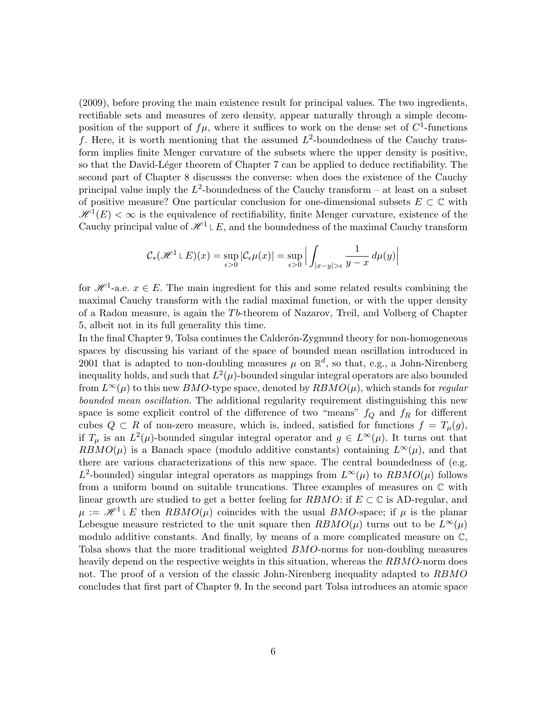(2009), before proving the main existence result for principal values. The two ingredients, rectifiable sets and measures of zero density, appear naturally through a simple decomposition of the support of  $f\mu$ , where it suffices to work on the dense set of  $C^1$ -functions f. Here, it is worth mentioning that the assumed  $L^2$ -boundedness of the Cauchy transform implies finite Menger curvature of the subsets where the upper density is positive, so that the David-Léger theorem of Chapter 7 can be applied to deduce rectifiability. The second part of Chapter 8 discusses the converse: when does the existence of the Cauchy principal value imply the  $L^2$ -boundedness of the Cauchy transform – at least on a subset of positive measure? One particular conclusion for one-dimensional subsets  $E \subset \mathbb{C}$  with  $\mathscr{H}^1(E) < \infty$  is the equivalence of rectifiability, finite Menger curvature, existence of the Cauchy principal value of  $\mathcal{H}^1 \cup E$ , and the boundedness of the maximal Cauchy transform

$$
\mathcal{C}_*(\mathcal{H}^1 \cup E)(x) = \sup_{\epsilon > 0} |\mathcal{C}_\epsilon \mu(x)| = \sup_{\epsilon > 0} \Big| \int_{|x-y| > \epsilon} \frac{1}{y-x} \, d\mu(y) \Big|
$$

for  $\mathscr{H}^1$ -a.e.  $x \in E$ . The main ingredient for this and some related results combining the maximal Cauchy transform with the radial maximal function, or with the upper density of a Radon measure, is again the Tb-theorem of Nazarov, Treil, and Volberg of Chapter 5, albeit not in its full generality this time.

In the final Chapter 9, Tolsa continues the Calderón-Zygmund theory for non-homogeneous spaces by discussing his variant of the space of bounded mean oscillation introduced in 2001 that is adapted to non-doubling measures  $\mu$  on  $\mathbb{R}^d$ , so that, e.g., a John-Nirenberg inequality holds, and such that  $L^2(\mu)$ -bounded singular integral operators are also bounded from  $L^{\infty}(\mu)$  to this new BMO-type space, denoted by  $R BMO(\mu)$ , which stands for regular bounded mean oscillation. The additional regularity requirement distinguishing this new space is some explicit control of the difference of two "means"  $f_Q$  and  $f_R$  for different cubes  $Q \subset R$  of non-zero measure, which is, indeed, satisfied for functions  $f = T_{\mu}(g)$ , if  $T_{\mu}$  is an  $L^2(\mu)$ -bounded singular integral operator and  $g \in L^{\infty}(\mu)$ . It turns out that  $RBMO(\mu)$  is a Banach space (modulo additive constants) containing  $L^{\infty}(\mu)$ , and that there are various characterizations of this new space. The central boundedness of (e.g. L<sup>2</sup>-bounded) singular integral operators as mappings from  $L^{\infty}(\mu)$  to  $RBMO(\mu)$  follows from a uniform bound on suitable truncations. Three examples of measures on  $\mathbb C$  with linear growth are studied to get a better feeling for RBMO: if  $E \subset \mathbb{C}$  is AD-regular, and  $\mu := \mathcal{H}^1 \cup E$  then  $RBMO(\mu)$  coincides with the usual BMO-space; if  $\mu$  is the planar Lebesgue measure restricted to the unit square then  $RBMO(\mu)$  turns out to be  $L^{\infty}(\mu)$ modulo additive constants. And finally, by means of a more complicated measure on C, Tolsa shows that the more traditional weighted BMO-norms for non-doubling measures heavily depend on the respective weights in this situation, whereas the RBMO-norm does not. The proof of a version of the classic John-Nirenberg inequality adapted to RBMO concludes that first part of Chapter 9. In the second part Tolsa introduces an atomic space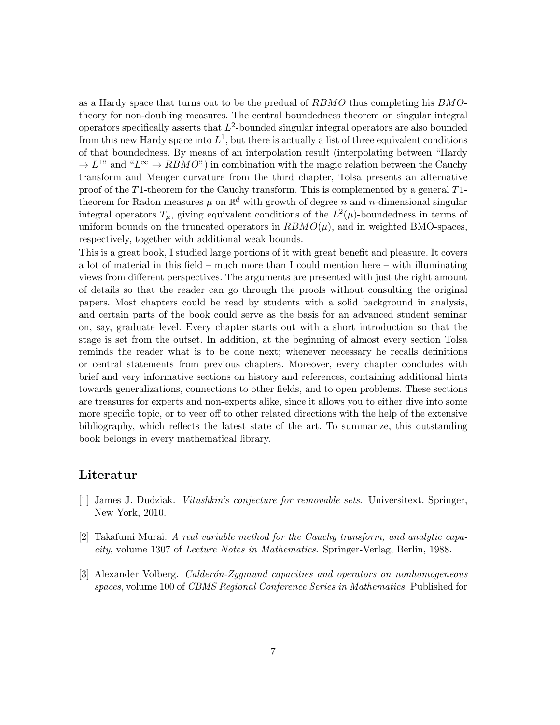as a Hardy space that turns out to be the predual of RBMO thus completing his BMOtheory for non-doubling measures. The central boundedness theorem on singular integral operators specifically asserts that  $L^2$ -bounded singular integral operators are also bounded from this new Hardy space into  $L^1$ , but there is actually a list of three equivalent conditions of that boundedness. By means of an interpolation result (interpolating between "Hardy  $\rightarrow L^{1}$ " and " $L^{\infty} \rightarrow RBMO$ ") in combination with the magic relation between the Cauchy transform and Menger curvature from the third chapter, Tolsa presents an alternative proof of the T1-theorem for the Cauchy transform. This is complemented by a general T1 theorem for Radon measures  $\mu$  on  $\mathbb{R}^d$  with growth of degree n and n-dimensional singular integral operators  $T_{\mu}$ , giving equivalent conditions of the  $L^2(\mu)$ -boundedness in terms of uniform bounds on the truncated operators in  $RBMO(\mu)$ , and in weighted BMO-spaces, respectively, together with additional weak bounds.

This is a great book, I studied large portions of it with great benefit and pleasure. It covers a lot of material in this field – much more than I could mention here – with illuminating views from different perspectives. The arguments are presented with just the right amount of details so that the reader can go through the proofs without consulting the original papers. Most chapters could be read by students with a solid background in analysis, and certain parts of the book could serve as the basis for an advanced student seminar on, say, graduate level. Every chapter starts out with a short introduction so that the stage is set from the outset. In addition, at the beginning of almost every section Tolsa reminds the reader what is to be done next; whenever necessary he recalls definitions or central statements from previous chapters. Moreover, every chapter concludes with brief and very informative sections on history and references, containing additional hints towards generalizations, connections to other fields, and to open problems. These sections are treasures for experts and non-experts alike, since it allows you to either dive into some more specific topic, or to veer off to other related directions with the help of the extensive bibliography, which reflects the latest state of the art. To summarize, this outstanding book belongs in every mathematical library.

## Literatur

- [1] James J. Dudziak. Vitushkin's conjecture for removable sets. Universitext. Springer, New York, 2010.
- [2] Takafumi Murai. A real variable method for the Cauchy transform, and analytic capacity, volume 1307 of Lecture Notes in Mathematics. Springer-Verlag, Berlin, 1988.
- [3] Alexander Volberg. *Calderón-Zygmund capacities and operators on nonhomogeneous* spaces, volume 100 of CBMS Regional Conference Series in Mathematics. Published for